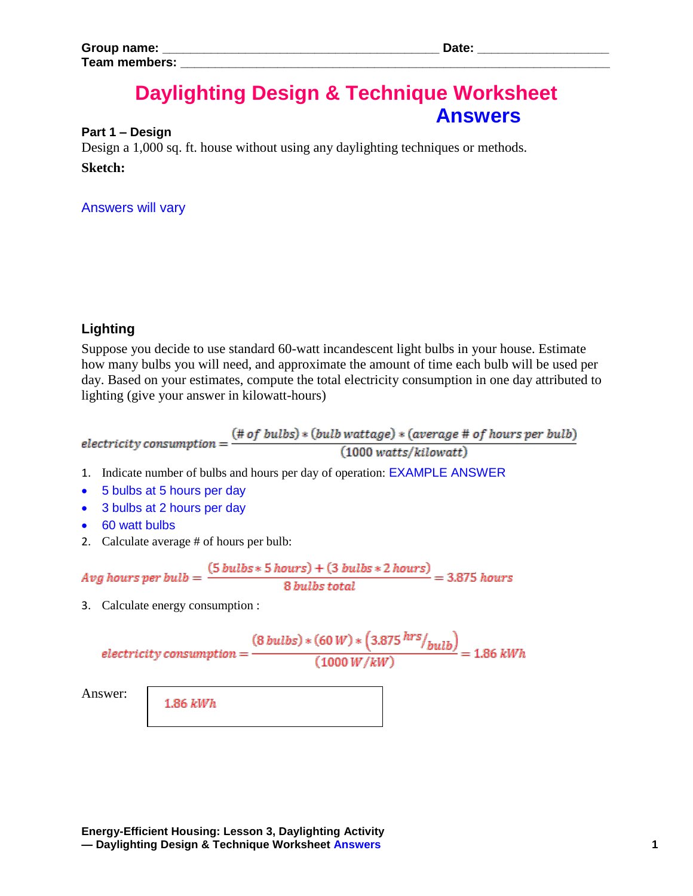# **Daylighting Design & Technique Worksheet Answers**

#### **Part 1 – Design**

Design a 1,000 sq. ft. house without using any daylighting techniques or methods. **Sketch:**

## Answers will vary

## **Lighting**

Suppose you decide to use standard 60-watt incandescent light bulbs in your house. Estimate how many bulbs you will need, and approximate the amount of time each bulb will be used per day. Based on your estimates, compute the total electricity consumption in one day attributed to lighting (give your answer in kilowatt-hours)

electricity consumption =  $\frac{(\# of \ bulbs) * (bulb \ watts) * (average \# of \ hours \ per \ bulb)}{(1000 \ watts / kilowatt)}$  $(1000 watts/kilowatt)$ 

- 1. Indicate number of bulbs and hours per day of operation: EXAMPLE ANSWER
- 5 bulbs at 5 hours per day
- 3 bulbs at 2 hours per day
- 60 watt bulbs
- 2. Calculate average # of hours per bulb:

$$
Avg hours per bulb = \frac{(5 bulbs * 5 hours) + (3 bulbs * 2 hours)}{8 bulbs total} = 3.875 hours
$$

3. Calculate energy consumption :

$$
electricity\ consumption = \frac{(8\ bulbs)*(60\ W)*\left(3.875\ hrs/_{bulb}\right)}{(1000\ W/kW)} = 1.86\ kWh
$$

Answer:

1.86 kWh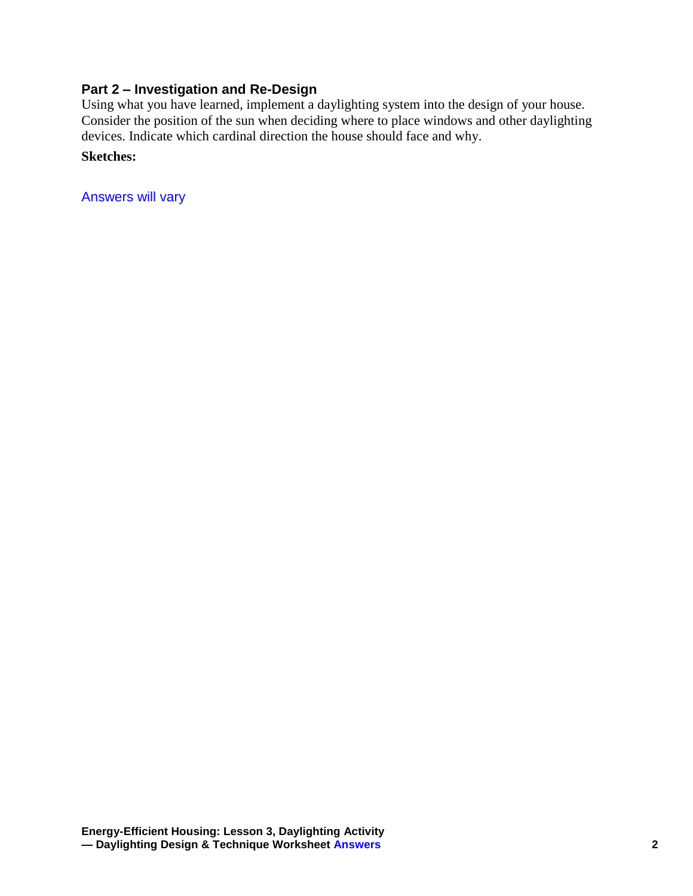# **Part 2 – Investigation and Re-Design**

Using what you have learned, implement a daylighting system into the design of your house. Consider the position of the sun when deciding where to place windows and other daylighting devices. Indicate which cardinal direction the house should face and why.

## **Sketches:**

Answers will vary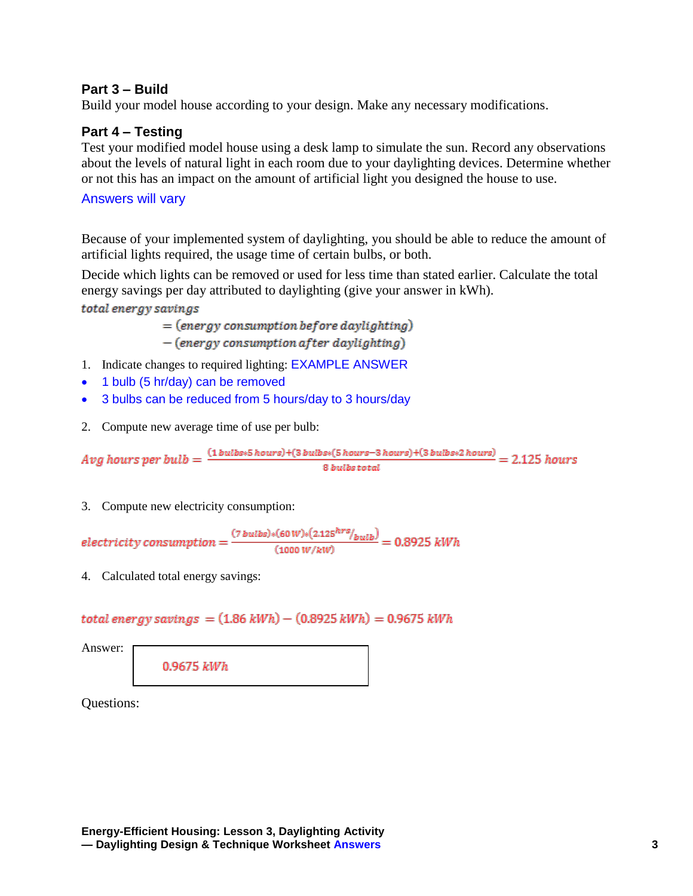## **Part 3 – Build**

Build your model house according to your design. Make any necessary modifications.

## **Part 4 – Testing**

Test your modified model house using a desk lamp to simulate the sun. Record any observations about the levels of natural light in each room due to your daylighting devices. Determine whether or not this has an impact on the amount of artificial light you designed the house to use.

## Answers will vary

Because of your implemented system of daylighting, you should be able to reduce the amount of artificial lights required, the usage time of certain bulbs, or both.

Decide which lights can be removed or used for less time than stated earlier. Calculate the total energy savings per day attributed to daylighting (give your answer in kWh).

total energy savings

 $=$  (energy consumption before daylighting)  $-(energy consumption after daylighting)$ 

- 1. Indicate changes to required lighting: EXAMPLE ANSWER
- 1 bulb (5 hr/day) can be removed
- 3 bulbs can be reduced from 5 hours/day to 3 hours/day
- 2. Compute new average time of use per bulb:

 $Avg \ hours \ per \ bulb = \frac{(\textit{1 bulbs} * \textit{5 hours}) + (\textit{3 bulbs} * (\textit{5 hours} - \textit{3 hours}) + (\textit{3 bulbs} * \textit{2 hours})}{\textit{8 bulbs total}} = 2.125 \ hours$ 

3. Compute new electricity consumption:

electricity consumption =  $\frac{(7 \, bulbs)*(60 \, W)*(2.125^{hrs}/_{bulb})}{(1000 \, W/kW)} = 0.8925 \, kWh$ 

4. Calculated total energy savings:

total energy savings =  $(1.86 \text{ kWh}) - (0.8925 \text{ kWh}) = 0.9675 \text{ kWh}$ 

Answer:

0.9675 kWh

Questions: